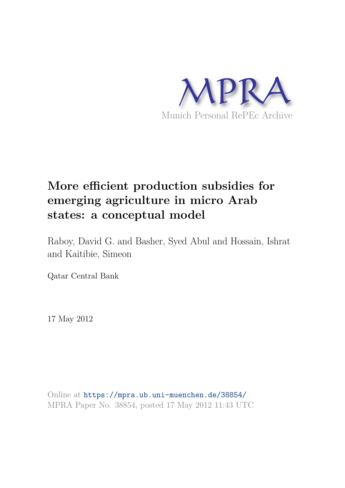

# **More efficient production subsidies for emerging agriculture in micro Arab states: a conceptual model**

Raboy, David G. and Basher, Syed Abul and Hossain, Ishrat and Kaitibie, Simeon

Qatar Central Bank

17 May 2012

Online at https://mpra.ub.uni-muenchen.de/38854/ MPRA Paper No. 38854, posted 17 May 2012 11:43 UTC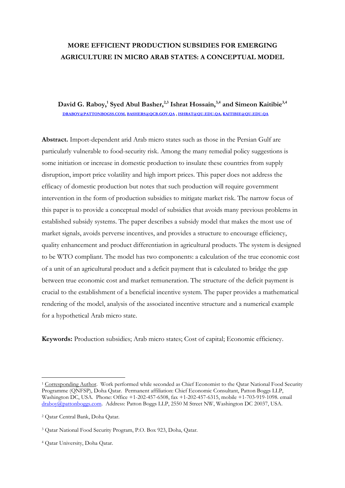# **MORE EFFICIENT PRODUCTION SUBSIDIES FOR EMERGING AGRICULTURE IN MICRO ARAB STATES: A CONCEPTUAL MODEL**

# **David G. Raboy,<sup>1</sup> Syed Abul Basher,2,3 Ishrat Hossain,3,4 and Simeon Kaitibie3,4 [DRABOY@PATTONBOGSS.COM,](mailto:draboy@pattonbogss.com) [BASHERS@QCB.GOV.QA](mailto:bashers@qcb.gov.qa) [, ISHRAT@QU.EDU.QA,](mailto:ishrat@qu.edu.qa) [KAITIBIE@QU.EDU.QA](mailto:KAITIBIE@qu.edu.qa)**

**Abstract.** Import-dependent arid Arab micro states such as those in the Persian Gulf are particularly vulnerable to food-security risk. Among the many remedial policy suggestions is some initiation or increase in domestic production to insulate these countries from supply disruption, import price volatility and high import prices. This paper does not address the efficacy of domestic production but notes that such production will require government intervention in the form of production subsidies to mitigate market risk. The narrow focus of this paper is to provide a conceptual model of subsidies that avoids many previous problems in established subsidy systems. The paper describes a subsidy model that makes the most use of market signals, avoids perverse incentives, and provides a structure to encourage efficiency, quality enhancement and product differentiation in agricultural products. The system is designed to be WTO compliant. The model has two components: a calculation of the true economic cost of a unit of an agricultural product and a deficit payment that is calculated to bridge the gap between true economic cost and market remuneration. The structure of the deficit payment is crucial to the establishment of a beneficial incentive system. The paper provides a mathematical rendering of the model, analysis of the associated incentive structure and a numerical example for a hypothetical Arab micro state.

**Keywords:** Production subsidies; Arab micro states; Cost of capital; Economic efficiency.

<sup>-</sup><sup>1</sup> Corresponding Author. Work performed while seconded as Chief Economist to the Qatar National Food Security Programme (QNFSP), Doha Qatar. Permanent affiliation: Chief Economic Consultant, Patton Boggs LLP, Washington DC, USA. Phone: Office +1-202-457-6508, fax +1-202-457-6315, mobile +1-703-919-1098. email [draboy@pattonboggs.com.](mailto:draboy@pattonboggs.com) Address: Patton Boggs LLP, 2550 M Street NW, Washington DC 20037, USA.

<sup>2</sup> Qatar Central Bank, Doha Qatar.

<sup>3</sup> Qatar National Food Security Program, P.O. Box 923, Doha, Qatar.

<sup>4</sup> Qatar University, Doha Qatar.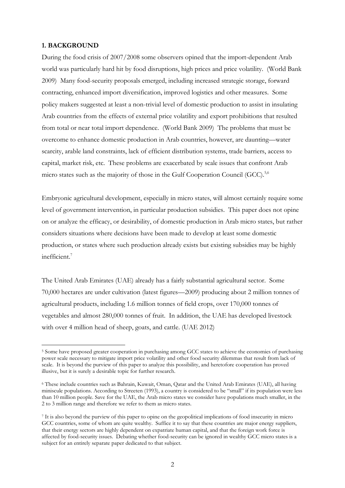#### **1. BACKGROUND**

-

During the food crisis of 2007/2008 some observers opined that the import-dependent Arab world was particularly hard hit by food disruptions, high prices and price volatility. (World Bank 2009) Many food-security proposals emerged, including increased strategic storage, forward contracting, enhanced import diversification, improved logistics and other measures. Some policy makers suggested at least a non-trivial level of domestic production to assist in insulating Arab countries from the effects of external price volatility and export prohibitions that resulted from total or near total import dependence. (World Bank 2009) The problems that must be overcome to enhance domestic production in Arab countries, however, are daunting—water scarcity, arable land constraints, lack of efficient distribution systems, trade barriers, access to capital, market risk, etc. These problems are exacerbated by scale issues that confront Arab micro states such as the majority of those in the Gulf Cooperation Council (GCC).<sup>5,6</sup>

Embryonic agricultural development, especially in micro states, will almost certainly require some level of government intervention, in particular production subsidies. This paper does not opine on or analyze the efficacy, or desirability, of domestic production in Arab micro states, but rather considers situations where decisions have been made to develop at least some domestic production, or states where such production already exists but existing subsidies may be highly inefficient.<sup>7</sup>

The United Arab Emirates (UAE) already has a fairly substantial agricultural sector. Some 70,000 hectares are under cultivation (latest figures—2009) producing about 2 million tonnes of agricultural products, including 1.6 million tonnes of field crops, over 170,000 tonnes of vegetables and almost 280,000 tonnes of fruit. In addition, the UAE has developed livestock with over 4 million head of sheep, goats, and cattle. (UAE 2012)

<sup>&</sup>lt;sup>5</sup> Some have proposed greater cooperation in purchasing among GCC states to achieve the economies of purchasing power scale necessary to mitigate import price volatility and other food security dilemmas that result from lack of scale. It is beyond the purview of this paper to analyze this possibility, and heretofore cooperation has proved illusive, but it is surely a desirable topic for further research.

<sup>6</sup> These include countries such as Bahrain, Kuwait, Oman, Qatar and the United Arab Emirates (UAE), all having miniscule populations. According to Streeten (1993), a country is considered to be "small" if its population were less than 10 million people. Save for the UAE, the Arab micro states we consider have populations much smaller, in the 2 to 3 million range and therefore we refer to them as micro states.

<sup>7</sup> It is also beyond the purview of this paper to opine on the geopolitical implications of food insecurity in micro GCC countries, some of whom are quite wealthy. Suffice it to say that these countries are major energy suppliers, that their energy sectors are highly dependent on expatriate human capital, and that the foreign work force is affected by food-security issues. Debating whether food-security can be ignored in wealthy GCC micro states is a subject for an entirely separate paper dedicated to that subject.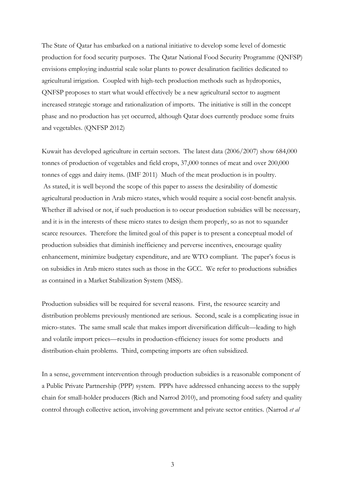The State of Qatar has embarked on a national initiative to develop some level of domestic production for food security purposes. The Qatar National Food Security Programme (QNFSP) envisions employing industrial scale solar plants to power desalination facilities dedicated to agricultural irrigation. Coupled with high-tech production methods such as hydroponics, QNFSP proposes to start what would effectively be a new agricultural sector to augment increased strategic storage and rationalization of imports. The initiative is still in the concept phase and no production has yet occurred, although Qatar does currently produce some fruits and vegetables. (QNFSP 2012)

Kuwait has developed agriculture in certain sectors. The latest data (2006/2007) show 684,000 tonnes of production of vegetables and field crops, 37,000 tonnes of meat and over 200,000 tonnes of eggs and dairy items. (IMF 2011) Much of the meat production is in poultry. As stated, it is well beyond the scope of this paper to assess the desirability of domestic agricultural production in Arab micro states, which would require a social cost-benefit analysis. Whether ill advised or not, if such production is to occur production subsidies will be necessary, and it is in the interests of these micro states to design them properly, so as not to squander scarce resources. Therefore the limited goal of this paper is to present a conceptual model of production subsidies that diminish inefficiency and perverse incentives, encourage quality enhancement, minimize budgetary expenditure, and are WTO compliant. The paper's focus is on subsidies in Arab micro states such as those in the GCC. We refer to productions subsidies as contained in a Market Stabilization System (MSS).

Production subsidies will be required for several reasons. First, the resource scarcity and distribution problems previously mentioned are serious. Second, scale is a complicating issue in micro-states. The same small scale that makes import diversification difficult—leading to high and volatile import prices—results in production-efficiency issues for some products and distribution-chain problems. Third, competing imports are often subsidized.

In a sense, government intervention through production subsidies is a reasonable component of a Public Private Partnership (PPP) system. PPPs have addressed enhancing access to the supply chain for small-holder producers (Rich and Narrod 2010), and promoting food safety and quality control through collective action, involving government and private sector entities. (Narrod *et al*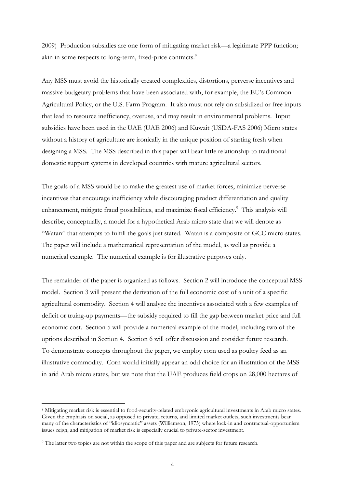2009) Production subsidies are one form of mitigating market risk—a legitimate PPP function; akin in some respects to long-term, fixed-price contracts.<sup>8</sup>

Any MSS must avoid the historically created complexities, distortions, perverse incentives and massive budgetary problems that have been associated with, for example, the EU's Common Agricultural Policy, or the U.S. Farm Program. It also must not rely on subsidized or free inputs that lead to resource inefficiency, overuse, and may result in environmental problems. Input subsidies have been used in the UAE (UAE 2006) and Kuwait (USDA-FAS 2006) Micro states without a history of agriculture are ironically in the unique position of starting fresh when designing a MSS. The MSS described in this paper will bear little relationship to traditional domestic support systems in developed countries with mature agricultural sectors.

The goals of a MSS would be to make the greatest use of market forces, minimize perverse incentives that encourage inefficiency while discouraging product differentiation and quality enhancement, mitigate fraud possibilities, and maximize fiscal efficiency.<sup>9</sup> This analysis will describe, conceptually, a model for a hypothetical Arab micro state that we will denote as "Watan" that attempts to fulfill the goals just stated. Watan is a composite of GCC micro states. The paper will include a mathematical representation of the model, as well as provide a numerical example. The numerical example is for illustrative purposes only.

The remainder of the paper is organized as follows. Section 2 will introduce the conceptual MSS model. Section 3 will present the derivation of the full economic cost of a unit of a specific agricultural commodity. Section 4 will analyze the incentives associated with a few examples of deficit or truing-up payments—the subsidy required to fill the gap between market price and full economic cost. Section 5 will provide a numerical example of the model, including two of the options described in Section 4. Section 6 will offer discussion and consider future research. To demonstrate concepts throughout the paper, we employ corn used as poultry feed as an illustrative commodity. Corn would initially appear an odd choice for an illustration of the MSS in arid Arab micro states, but we note that the UAE produces field crops on 28,000 hectares of

-

<sup>8</sup> Mitigating market risk is essential to food-security-related embryonic agricultural investments in Arab micro states. Given the emphasis on social, as opposed to private, returns, and limited market outlets, such investments bear many of the characteristics of "idiosyncratic" assets (Williamson, 1975) where lock-in and contractual-opportunism issues reign, and mitigation of market risk is especially crucial to private-sector investment.

<sup>9</sup> The latter two topics are not within the scope of this paper and are subjects for future research.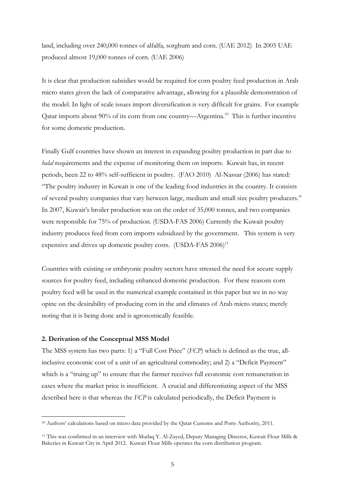land, including over 240,000 tonnes of alfalfa, sorghum and corn. (UAE 2012) In 2005 UAE produced almost 19,000 tonnes of corn. (UAE 2006)

It is clear that production subsidies would be required for corn poultry feed production in Arab micro states given the lack of comparative advantage, allowing for a plausible demonstration of the model. In light of scale issues import diversification is very difficult for grains. For example Qatar imports about 90% of its corn from one country—Argentina.<sup>10</sup> This is further incentive for some domestic production.

Finally Gulf countries have shown an interest in expanding poultry production in part due to *halal* requirements and the expense of monitoring them on imports. Kuwait has, in recent periods, been 22 to 48% self-sufficient in poultry. (FAO 2010) Al-Nassar (2006) has stated: "The poultry industry in Kuwait is one of the leading food industries in the country. It consists of several poultry companies that vary between large, medium and small size poultry producers." In 2007, Kuwait's broiler production was on the order of 35,000 tonnes, and two companies were responsible for 75% of production. (USDA-FAS 2006) Currently the Kuwait poultry industry produces feed from corn imports subsidized by the government. This system is very expensive and drives up domestic poultry costs.  $(USDA-FAS 2006)^{11}$ 

Countries with existing or embryonic poultry sectors have stressed the need for secure supply sources for poultry feed, including enhanced domestic production. For these reasons corn poultry feed will be used in the numerical example contained in this paper but we in no way opine on the desirability of producing corn in the arid climates of Arab micro states; merely noting that it is being done and is agronomically feasible.

## **2. Derivation of the Conceptual MSS Model**

-

The MSS system has two parts: 1) a "Full Cost Price" (*FCP*) which is defined as the true, allinclusive economic cost of a unit of an agricultural commodity; and 2) a "Deficit Payment" which is a "truing up" to ensure that the farmer receives full economic cost remuneration in cases where the market price is insufficient. A crucial and differentiating aspect of the MSS described here is that whereas the *FCP* is calculated periodically, the Deficit Payment is

<sup>10</sup> Authors' calculations based on micro data provided by the Qatar Customs and Ports Authority, 2011.

<sup>11</sup> This was confirmed in an interview with Mutlaq Y. Al-Zayed, Deputy Managing Director, Kuwait Flour Mills & Bakeries in Kuwait City in April 2012. Kuwait Flour Mills operates the corn distribution program.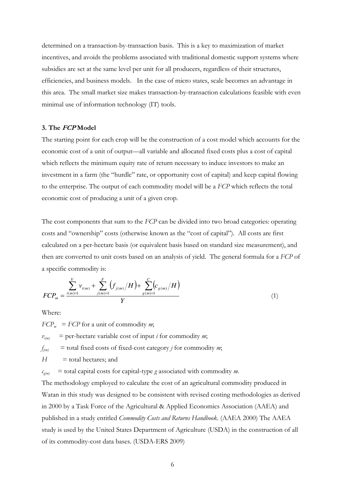determined on a transaction-by-transaction basis. This is a key to maximization of market incentives, and avoids the problems associated with traditional domestic support systems where subsidies are set at the same level per unit for all producers, regardless of their structures, efficiencies, and business models. In the case of micro states, scale becomes an advantage in this area. The small market size makes transaction-by-transaction calculations feasible with even minimal use of information technology (IT) tools.

## **3. The FCP Model**

The starting point for each crop will be the construction of a cost model which accounts for the economic cost of a unit of output—all variable and allocated fixed costs plus a cost of capital which reflects the minimum equity rate of return necessary to induce investors to make an investment in a farm (the "hurdle" rate, or opportunity cost of capital) and keep capital flowing to the enterprise. The output of each commodity model will be a *FCP* which reflects the total economic cost of producing a unit of a given crop.

The cost components that sum to the *FCP* can be divided into two broad categories: operating costs and "ownership" costs (otherwise known as the "cost of capital"). All costs are first calculated on a per-hectare basis (or equivalent basis based on standard size measurement), and then are converted to unit costs based on an analysis of yield. The general formula for a *FCP* of a specific commodity is:

$$
FCP_m = \frac{\sum_{i(m)=1}^{V} v_{i(m)} + \sum_{j(m)=1}^{F} (f_{j(m)}/H) + \sum_{g(m)=1}^{C} (c_{g(m)}/H)}{Y}
$$
(1)

Where:

 $FCP_m = FCP$  for a unit of commodity *m*;

 $v_{i(m)}$  = per-hectare variable cost of input *i* for commodity *m*;

*f*  $=$  total fixed costs of fixed-cost category *j* for commodity *m*;

 $H =$  total hectares; and

 $c_{a(m)}$  $\overline{\phantom{a}}$  = total capital costs for capital-type *g* associated with commodity *m*.

The methodology employed to calculate the cost of an agricultural commodity produced in Watan in this study was designed to be consistent with revised costing methodologies as derived in 2000 by a Task Force of the Agricultural & Applied Economics Association (AAEA) and published in a study entitled *Commodity Costs and Returns Handbook*. (AAEA 2000) The AAEA study is used by the United States Department of Agriculture (USDA) in the construction of all of its commodity-cost data bases. (USDA-ERS 2009)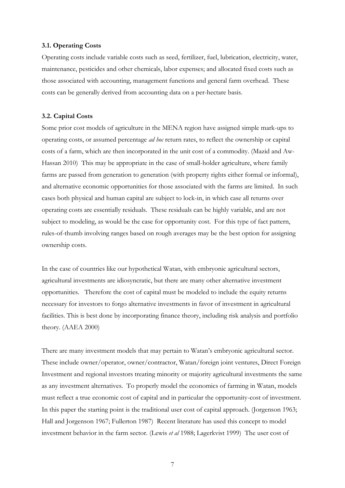#### **3.1. Operating Costs**

Operating costs include variable costs such as seed, fertilizer, fuel, lubrication, electricity, water, maintenance, pesticides and other chemicals, labor expenses; and allocated fixed costs such as those associated with accounting, management functions and general farm overhead. These costs can be generally derived from accounting data on a per-hectare basis.

#### **3.2. Capital Costs**

Some prior cost models of agriculture in the MENA region have assigned simple mark-ups to operating costs, or assumed percentage *ad hoc* return rates, to reflect the ownership or capital costs of a farm, which are then incorporated in the unit cost of a commodity. (Mazid and Aw-Hassan 2010) This may be appropriate in the case of small-holder agriculture, where family farms are passed from generation to generation (with property rights either formal or informal), and alternative economic opportunities for those associated with the farms are limited. In such cases both physical and human capital are subject to lock-in, in which case all returns over operating costs are essentially residuals. These residuals can be highly variable, and are not subject to modeling, as would be the case for opportunity cost. For this type of fact pattern, rules-of-thumb involving ranges based on rough averages may be the best option for assigning ownership costs.

In the case of countries like our hypothetical Watan, with embryonic agricultural sectors, agricultural investments are idiosyncratic, but there are many other alternative investment opportunities. Therefore the cost of capital must be modeled to include the equity returns necessary for investors to forgo alternative investments in favor of investment in agricultural facilities. This is best done by incorporating finance theory, including risk analysis and portfolio theory. (AAEA 2000)

There are many investment models that may pertain to Watan's embryonic agricultural sector. These include owner/operator, owner/contractor, Watan/foreign joint ventures, Direct Foreign Investment and regional investors treating minority or majority agricultural investments the same as any investment alternatives. To properly model the economics of farming in Watan, models must reflect a true economic cost of capital and in particular the opportunity-cost of investment. In this paper the starting point is the traditional user cost of capital approach. (Jorgenson 1963; Hall and Jorgenson 1967; Fullerton 1987) Recent literature has used this concept to model investment behavior in the farm sector. (Lewis *et al* 1988; Lagerkvist 1999) The user cost of

7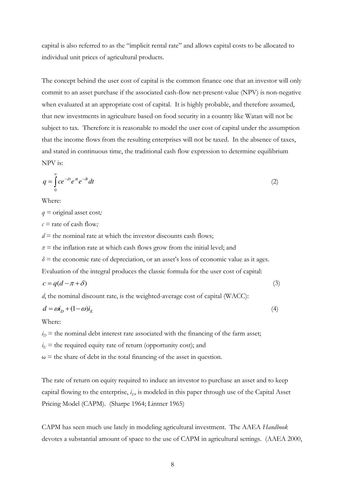capital is also referred to as the "implicit rental rate" and allows capital costs to be allocated to individual unit prices of agricultural products.

The concept behind the user cost of capital is the common finance one that an investor will only commit to an asset purchase if the associated cash-flow net-present-value (NPV) is non-negative when evaluated at an appropriate cost of capital. It is highly probable, and therefore assumed, that new investments in agriculture based on food security in a country like Watan will not be subject to tax. Therefore it is reasonable to model the user cost of capital under the assumption that the income flows from the resulting enterprises will not be taxed. In the absence of taxes, and stated in continuous time, the traditional cash flow expression to determine equilibrium NPV is:

$$
q = \int_{0}^{\infty} ce^{-dt}e^{\pi t}e^{-\delta t} dt
$$
 (2)

Where:

*q =* original asset cost*;*

*c =* rate of cash flow*;*

 $d =$  the nominal rate at which the investor discounts cash flows;

 $\pi$  = the inflation rate at which cash flows grow from the initial level; and

 $\delta$  = the economic rate of depreciation, or an asset's loss of economic value as it ages.

Evaluation of the integral produces the classic formula for the user cost of capital:

$$
c = q(d - \pi + \delta) \tag{3}
$$

*d*, the nominal discount rate, is the weighted-average cost of capital (WACC):

$$
d = \omega t_D + (1 - \omega)t_E \tag{4}
$$

Where:

 $i<sub>D</sub>$  = the nominal debt interest rate associated with the financing of the farm asset;

 $i_E$  = the required equity rate of return (opportunity cost); and

 $\omega$  = the share of debt in the total financing of the asset in question.

The rate of return on equity required to induce an investor to purchase an asset and to keep capital flowing to the enterprise,  $i<sub>E</sub>$ , is modeled in this paper through use of the Capital Asset Pricing Model (CAPM). (Sharpe 1964; Lintner 1965)

CAPM has seen much use lately in modeling agricultural investment. The AAEA *Handbook*  devotes a substantial amount of space to the use of CAPM in agricultural settings. (AAEA 2000,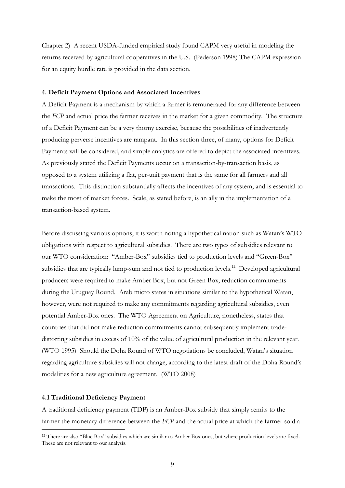Chapter 2) A recent USDA-funded empirical study found CAPM very useful in modeling the returns received by agricultural cooperatives in the U.S. (Pederson 1998) The CAPM expression for an equity hurdle rate is provided in the data section.

#### **4. Deficit Payment Options and Associated Incentives**

A Deficit Payment is a mechanism by which a farmer is remunerated for any difference between the *FCP* and actual price the farmer receives in the market for a given commodity. The structure of a Deficit Payment can be a very thorny exercise, because the possibilities of inadvertently producing perverse incentives are rampant. In this section three, of many, options for Deficit Payments will be considered, and simple analytics are offered to depict the associated incentives. As previously stated the Deficit Payments occur on a transaction-by-transaction basis, as opposed to a system utilizing a flat, per-unit payment that is the same for all farmers and all transactions. This distinction substantially affects the incentives of any system, and is essential to make the most of market forces. Scale, as stated before, is an ally in the implementation of a transaction-based system.

Before discussing various options, it is worth noting a hypothetical nation such as Watan's WTO obligations with respect to agricultural subsidies. There are two types of subsidies relevant to our WTO consideration: "Amber-Box" subsidies tied to production levels and "Green-Box" subsidies that are typically lump-sum and not tied to production levels.<sup>12</sup> Developed agricultural producers were required to make Amber Box, but not Green Box, reduction commitments during the Uruguay Round. Arab micro states in situations similar to the hypothetical Watan, however, were not required to make any commitments regarding agricultural subsidies, even potential Amber-Box ones. The WTO Agreement on Agriculture, nonetheless, states that countries that did not make reduction commitments cannot subsequently implement tradedistorting subsidies in excess of 10% of the value of agricultural production in the relevant year. (WTO 1995) Should the Doha Round of WTO negotiations be concluded, Watan's situation regarding agriculture subsidies will not change, according to the latest draft of the Doha Round's modalities for a new agriculture agreement. (WTO 2008)

#### **4.1 Traditional Deficiency Payment**

-

A traditional deficiency payment (TDP) is an Amber-Box subsidy that simply remits to the farmer the monetary difference between the *FCP* and the actual price at which the farmer sold a

<sup>12</sup> There are also "Blue Box" subsidies which are similar to Amber Box ones, but where production levels are fixed. These are not relevant to our analysis.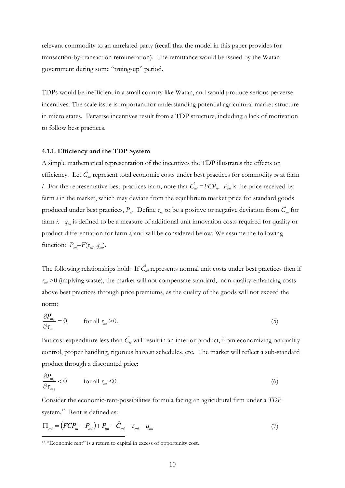relevant commodity to an unrelated party (recall that the model in this paper provides for transaction-by-transaction remuneration). The remittance would be issued by the Watan government during some "truing-up" period.

TDPs would be inefficient in a small country like Watan, and would produce serious perverse incentives. The scale issue is important for understanding potential agricultural market structure in micro states. Perverse incentives result from a TDP structure, including a lack of motivation to follow best practices.

#### **4.1.1. Efficiency and the TDP System**

 $\overline{a}$ 

A simple mathematical representation of the incentives the TDP illustrates the effects on efficiency. Let *Ĉmi* represent total economic costs under best practices for commodity *m* at farm *i*. For the representative best-practices farm, note that  $\hat{C}_{mi} = FCP_m$ .  $P_m$  is the price received by farm *i* in the market, which may deviate from the equilibrium market price for standard goods produced under best practices, *P<sup>m</sup>* . Define *τmi* to be a positive or negative deviation from *Ĉmi* for farm *i*. *qmi* is defined to be a measure of additional unit innovation costs required for quality or product differentiation for farm *i*, and will be considered below. We assume the following function:  $P_m = F(\tau_m, q_m)$ .

The following relationships hold: If  $\hat{C}_{m i}$  represents normal unit costs under best practices then if *τmi* >0 (implying waste), the market will not compensate standard, non-quality-enhancing costs above best practices through price premiums, as the quality of the goods will not exceed the norm:

$$
\frac{\partial P_{m_i}}{\partial \tau_{m_i}} = 0 \qquad \text{for all } \tau_{m_i} > 0. \tag{5}
$$

But cost expenditure less than *Ĉ<sup>m</sup>* will result in an inferior product, from economizing on quality control, proper handling, rigorous harvest schedules, etc. The market will reflect a sub-standard product through a discounted price:

$$
\frac{\partial P_{m_i}}{\partial \tau_{m_i}} < 0 \qquad \text{for all } \tau_{m_i} < 0. \tag{6}
$$

Consider the economic-rent-possibilities formula facing an agricultural firm under a *TDP* system.<sup>13</sup> Rent is defined as:

$$
\Pi_{mi} = \left( FCP_m - P_{mi} \right) + P_{mi} - \hat{C}_{mi} - \tau_{mi} - q_{mi} \tag{7}
$$

<sup>&</sup>lt;sup>13</sup> "Economic rent" is a return to capital in excess of opportunity cost.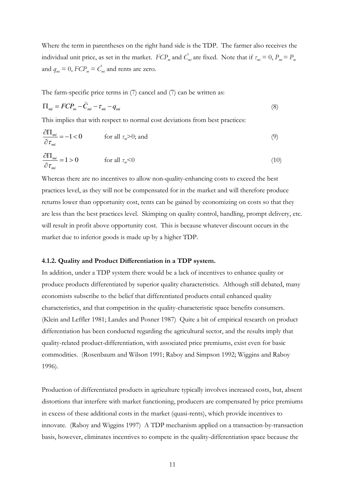Where the term in parentheses on the right hand side is the TDP. The farmer also receives the individual unit price, as set in the market.  $FCP_m$  and  $\hat{C}_{mi}$  are fixed. Note that if  $\tau_{mi} = 0$ ,  $P_{mi} = P_m$ and  $q_m = 0$ ,  $FCP_m = C_m$  and rents are zero.

The farm-specific price terms in (7) cancel and (7) can be written as:

$$
\Pi_{mi} = FCP_m - \hat{C}_{mi} - \tau_{mi} - q_{mi}
$$
\n(8)

This implies that with respect to normal cost deviations from best practices:

$$
\frac{\partial \Pi_{mi}}{\partial \tau_{mi}} = -1 < 0 \qquad \text{for all } \tau_m > 0; \text{ and} \tag{9}
$$

$$
\frac{\partial \Pi_{mi}}{\partial \tau_{mi}} = 1 > 0 \qquad \text{for all } \tau_{m} < 0 \tag{10}
$$

Whereas there are no incentives to allow non-quality-enhancing costs to exceed the best practices level, as they will not be compensated for in the market and will therefore produce returns lower than opportunity cost, rents can be gained by economizing on costs so that they are less than the best practices level. Skimping on quality control, handling, prompt delivery, etc. will result in profit above opportunity cost. This is because whatever discount occurs in the market due to inferior goods is made up by a higher TDP.

### **4.1.2. Quality and Product Differentiation in a TDP system.**

In addition, under a TDP system there would be a lack of incentives to enhance quality or produce products differentiated by superior quality characteristics. Although still debated, many economists subscribe to the belief that differentiated products entail enhanced quality characteristics, and that competition in the quality-characteristic space benefits consumers. (Klein and Leffler 1981; Landes and Posner 1987) Quite a bit of empirical research on product differentiation has been conducted regarding the agricultural sector, and the results imply that quality-related product-differentiation, with associated price premiums, exist even for basic commodities. (Rosenbaum and Wilson 1991; Raboy and Simpson 1992; Wiggins and Raboy 1996).

Production of differentiated products in agriculture typically involves increased costs, but, absent distortions that interfere with market functioning, producers are compensated by price premiums in excess of these additional costs in the market (quasi-rents), which provide incentives to innovate. (Raboy and Wiggins 1997) A TDP mechanism applied on a transaction-by-transaction basis, however, eliminates incentives to compete in the quality-differentiation space because the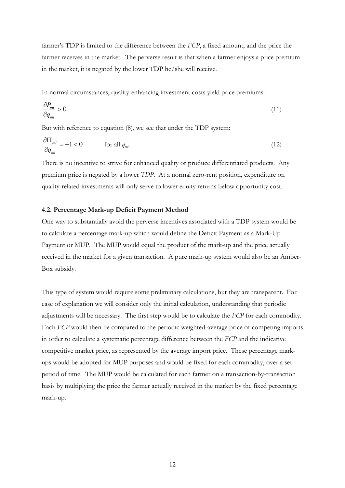farmer's TDP is limited to the difference between the *FCP*, a fixed amount, and the price the farmer receives in the market. The perverse result is that when a farmer enjoys a price premium in the market, it is negated by the lower TDP he/she will receive.

In normal circumstances, quality-enhancing investment costs yield price premiums:

$$
\frac{\partial P_{mi}}{\partial q_{mi}} > 0 \tag{11}
$$

But with reference to equation (8), we see that under the TDP system:

$$
\frac{\partial \Pi_{mi}}{\partial q_{mi}} = -1 < 0 \qquad \text{for all } q_{mi}.\tag{12}
$$

There is no incentive to strive for enhanced quality or produce differentiated products. Any premium price is negated by a lower *TDP*. At a normal zero-rent position, expenditure on quality-related investments will only serve to lower equity returns below opportunity cost.

#### **4.2. Percentage Mark-up Deficit Payment Method**

One way to substantially avoid the perverse incentives associated with a TDP system would be to calculate a percentage mark-up which would define the Deficit Payment as a Mark-Up Payment or MUP. The MUP would equal the product of the mark-up and the price actually received in the market for a given transaction. A pure mark-up system would also be an Amber-Box subsidy.

This type of system would require some preliminary calculations, but they are transparent. For ease of explanation we will consider only the initial calculation, understanding that periodic adjustments will be necessary. The first step would be to calculate the *FCP* for each commodity. Each *FCP* would then be compared to the periodic weighted-average price of competing imports in order to calculate a systematic percentage difference between the *FCP* and the indicative competitive market price, as represented by the average import price. These percentage markups would be adopted for MUP purposes and would be fixed for each commodity, over a set period of time. The MUP would be calculated for each farmer on a transaction-by-transaction basis by multiplying the price the farmer actually received in the market by the fixed percentage mark-up.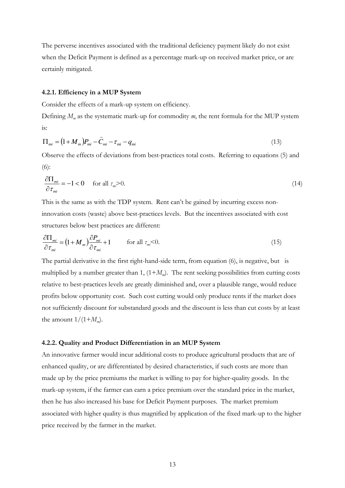The perverse incentives associated with the traditional deficiency payment likely do not exist when the Deficit Payment is defined as a percentage mark-up on received market price, or are certainly mitigated.

#### **4.2.1. Efficiency in a MUP System**

Consider the effects of a mark-up system on efficiency.

Defining *M<sup>m</sup>* as the systematic mark-up for commodity *m*, the rent formula for the MUP system is:

$$
\Pi_{mi} = (1 + M_m)P_{mi} - \hat{C}_{mi} - \tau_{mi} - q_{mi}
$$
\n(13)

Observe the effects of deviations from best-practices total costs. Referring to equations (5) and (6):

$$
\frac{\partial \Pi_{mi}}{\partial \tau_{mi}} = -1 < 0 \quad \text{for all } \tau_{mi} > 0. \tag{14}
$$

This is the same as with the TDP system. Rent can't be gained by incurring excess noninnovation costs (waste) above best-practices levels. But the incentives associated with cost structures below best practices are different:

$$
\frac{\partial \Pi_{mi}}{\partial \tau_{mi}} = (1 + M_m) \frac{\partial P_{mi}}{\partial \tau_{mi}} + 1 \qquad \text{for all } \tau_{mi} < 0.
$$
 (15)

The partial derivative in the first right-hand-side term, from equation (6), is negative, but is multiplied by a number greater than 1, (1+*M<sup>m</sup>* ). The rent seeking possibilities from cutting costs relative to best-practices levels are greatly diminished and, over a plausible range, would reduce profits below opportunity cost. Such cost cutting would only produce rents if the market does not sufficiently discount for substandard goods and the discount is less than cut costs by at least the amount  $1/(1+M_m)$ .

#### **4.2.2. Quality and Product Differentiation in an MUP System**

An innovative farmer would incur additional costs to produce agricultural products that are of enhanced quality, or are differentiated by desired characteristics, if such costs are more than made up by the price premiums the market is willing to pay for higher-quality goods. In the mark-up system, if the farmer can earn a price premium over the standard price in the market, then he has also increased his base for Deficit Payment purposes. The market premium associated with higher quality is thus magnified by application of the fixed mark-up to the higher price received by the farmer in the market.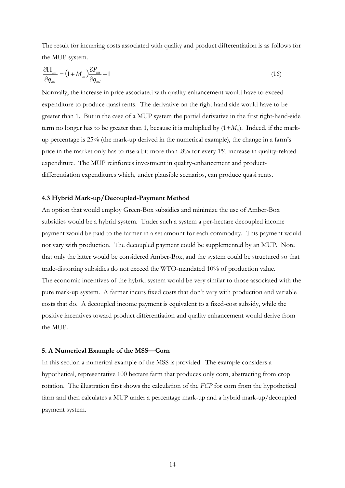The result for incurring costs associated with quality and product differentiation is as follows for the MUP system.

$$
\frac{\partial \Pi_{mi}}{\partial q_{mi}} = \left(1 + M_m\right) \frac{\partial P_{mi}}{\partial q_{mi}} - 1\tag{16}
$$

Normally, the increase in price associated with quality enhancement would have to exceed expenditure to produce quasi rents. The derivative on the right hand side would have to be greater than 1. But in the case of a MUP system the partial derivative in the first right-hand-side term no longer has to be greater than 1, because it is multiplied by (1+*M<sup>m</sup>* ). Indeed, if the markup percentage is 25% (the mark-up derived in the numerical example), the change in a farm's price in the market only has to rise a bit more than .8% for every 1% increase in quality-related expenditure. The MUP reinforces investment in quality-enhancement and productdifferentiation expenditures which, under plausible scenarios, can produce quasi rents.

#### **4.3 Hybrid Mark-up/Decoupled-Payment Method**

An option that would employ Green-Box subsidies and minimize the use of Amber-Box subsidies would be a hybrid system. Under such a system a per-hectare decoupled income payment would be paid to the farmer in a set amount for each commodity. This payment would not vary with production. The decoupled payment could be supplemented by an MUP. Note that only the latter would be considered Amber-Box, and the system could be structured so that trade-distorting subsidies do not exceed the WTO-mandated 10% of production value. The economic incentives of the hybrid system would be very similar to those associated with the pure mark-up system. A farmer incurs fixed costs that don't vary with production and variable costs that do. A decoupled income payment is equivalent to a fixed-cost subsidy, while the positive incentives toward product differentiation and quality enhancement would derive from the MUP.

#### **5. A Numerical Example of the MSS—Corn**

In this section a numerical example of the MSS is provided. The example considers a hypothetical, representative 100 hectare farm that produces only corn, abstracting from crop rotation. The illustration first shows the calculation of the *FCP* for corn from the hypothetical farm and then calculates a MUP under a percentage mark-up and a hybrid mark-up/decoupled payment system.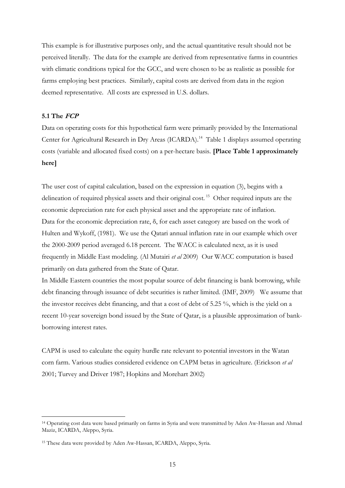This example is for illustrative purposes only, and the actual quantitative result should not be perceived literally. The data for the example are derived from representative farms in countries with climatic conditions typical for the GCC, and were chosen to be as realistic as possible for farms employing best practices. Similarly, capital costs are derived from data in the region deemed representative. All costs are expressed in U.S. dollars.

## **5.1 The FCP**

-

Data on operating costs for this hypothetical farm were primarily provided by the International Center for Agricultural Research in Dry Areas (ICARDA).<sup>14</sup> Table 1 displays assumed operating costs (variable and allocated fixed costs) on a per-hectare basis. **[Place Table 1 approximately here]**

The user cost of capital calculation, based on the expression in equation (3), begins with a delineation of required physical assets and their original cost.<sup>15</sup> Other required inputs are the economic depreciation rate for each physical asset and the appropriate rate of inflation. Data for the economic depreciation rate,  $\delta$ , for each asset category are based on the work of Hulten and Wykoff, (1981). We use the Qatari annual inflation rate in our example which over the 2000-2009 period averaged 6.18 percent. The WACC is calculated next, as it is used frequently in Middle East modeling. (Al Mutairi *et al* 2009) Our WACC computation is based primarily on data gathered from the State of Qatar.

In Middle Eastern countries the most popular source of debt financing is bank borrowing, while debt financing through issuance of debt securities is rather limited. (IMF, 2009) We assume that the investor receives debt financing, and that a cost of debt of 5.25 %, which is the yield on a recent 10-year sovereign bond issued by the State of Qatar, is a plausible approximation of bankborrowing interest rates.

CAPM is used to calculate the equity hurdle rate relevant to potential investors in the Watan corn farm. Various studies considered evidence on CAPM betas in agriculture. (Erickson *et al* 2001; Turvey and Driver 1987; Hopkins and Morehart 2002)

<sup>14</sup> Operating cost data were based primarily on farms in Syria and were transmitted by Aden Aw-Hassan and Ahmad Maziz, ICARDA, Aleppo, Syria.

<sup>15</sup> These data were provided by Aden Aw-Hassan, ICARDA, Aleppo, Syria.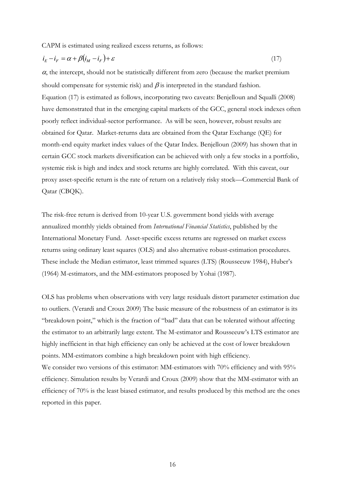CAPM is estimated using realized excess returns, as follows:

$$
i_E - i_F = \alpha + \beta (i_M - i_F) + \varepsilon \tag{17}
$$

 $\alpha$ , the intercept, should not be statistically different from zero (because the market premium should compensate for systemic risk) and  $\beta$  is interpreted in the standard fashion. Equation (17) is estimated as follows, incorporating two caveats: Benjelloun and Squalli (2008) have demonstrated that in the emerging capital markets of the GCC, general stock indexes often poorly reflect individual-sector performance. As will be seen, however, robust results are obtained for Qatar. Market-returns data are obtained from the Qatar Exchange (QE) for month-end equity market index values of the Qatar Index. Benjelloun (2009) has shown that in certain GCC stock markets diversification can be achieved with only a few stocks in a portfolio, systemic risk is high and index and stock returns are highly correlated. With this caveat, our proxy asset-specific return is the rate of return on a relatively risky stock—Commercial Bank of Qatar (CBQK).

The risk-free return is derived from 10-year U.S. government bond yields with average annualized monthly yields obtained from *International Financial Statistics*, published by the International Monetary Fund. Asset-specific excess returns are regressed on market excess returns using ordinary least squares (OLS) and also alternative robust-estimation procedures. These include the Median estimator, least trimmed squares (LTS) (Rousseeuw 1984), Huber's (1964) M-estimators, and the MM-estimators proposed by Yohai (1987).

OLS has problems when observations with very large residuals distort parameter estimation due to outliers. (Verardi and Croux 2009) The basic measure of the robustness of an estimator is its "breakdown point," which is the fraction of "bad" data that can be tolerated without affecting the estimator to an arbitrarily large extent. The M-estimator and Rousseeuw's LTS estimator are highly inefficient in that high efficiency can only be achieved at the cost of lower breakdown points. MM-estimators combine a high breakdown point with high efficiency. We consider two versions of this estimator: MM-estimators with 70% efficiency and with 95% efficiency. Simulation results by Verardi and Croux (2009) show that the MM-estimator with an efficiency of 70% is the least biased estimator, and results produced by this method are the ones reported in this paper.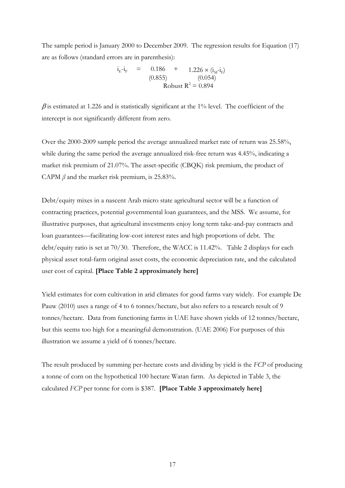The sample period is January 2000 to December 2009. The regression results for Equation (17) are as follows (standard errors are in parenthesis):

> $i_{E} - i_{F}$  = 0.186 + 1.226 × ( $i_{M} - i_{F}$ )  $(0.855)$   $(0.054)$ Robust  $R^2 = 0.894$

 $\beta$  is estimated at 1.226 and is statistically significant at the 1% level. The coefficient of the intercept is not significantly different from zero.

Over the 2000-2009 sample period the average annualized market rate of return was 25.58%, while during the same period the average annualized risk-free return was 4.45%, indicating a market risk premium of 21.07%. The asset-specific (CBQK) risk premium, the product of CAPM  $\beta$  and the market risk premium, is 25.83%.

Debt/equity mixes in a nascent Arab micro state agricultural sector will be a function of contracting practices, potential governmental loan guarantees, and the MSS. We assume, for illustrative purposes, that agricultural investments enjoy long term take-and-pay contracts and loan guarantees—facilitating low-cost interest rates and high proportions of debt. The debt/equity ratio is set at 70/30. Therefore, the WACC is 11.42%. Table 2 displays for each physical asset total-farm original asset costs, the economic depreciation rate, and the calculated user cost of capital. **[Place Table 2 approximately here]**

Yield estimates for corn cultivation in arid climates for good farms vary widely. For example De Pauw (2010) uses a range of 4 to 6 tonnes/hectare, but also refers to a research result of 9 tonnes/hectare. Data from functioning farms in UAE have shown yields of 12 tonnes/hectare, but this seems too high for a meaningful demonstration. (UAE 2006) For purposes of this illustration we assume a yield of 6 tonnes/hectare.

The result produced by summing per-hectare costs and dividing by yield is the *FCP* of producing a tonne of corn on the hypothetical 100 hectare Watan farm. As depicted in Table 3, the calculated *FCP* per tonne for corn is \$387. **[Place Table 3 approximately here]**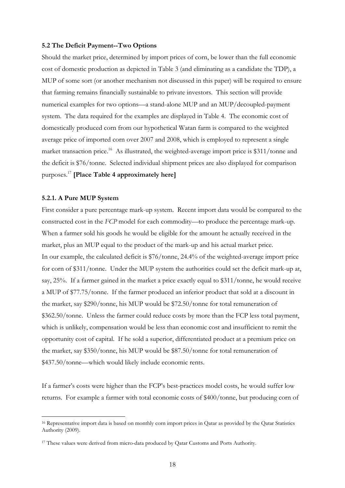#### **5.2 The Deficit Payment--Two Options**

Should the market price, determined by import prices of corn, be lower than the full economic cost of domestic production as depicted in Table 3 (and eliminating as a candidate the TDP), a MUP of some sort (or another mechanism not discussed in this paper) will be required to ensure that farming remains financially sustainable to private investors. This section will provide numerical examples for two options—a stand-alone MUP and an MUP/decoupled-payment system. The data required for the examples are displayed in Table 4. The economic cost of domestically produced corn from our hypothetical Watan farm is compared to the weighted average price of imported corn over 2007 and 2008, which is employed to represent a single market transaction price.<sup>16</sup> As illustrated, the weighted-average import price is \$311/tonne and the deficit is \$76/tonne. Selected individual shipment prices are also displayed for comparison purposes.<sup>17</sup> **[Place Table 4 approximately here]**

#### **5.2.1. A Pure MUP System**

-

First consider a pure percentage mark-up system. Recent import data would be compared to the constructed cost in the *FCP* model for each commodity—to produce the percentage mark-up. When a farmer sold his goods he would be eligible for the amount he actually received in the market, plus an MUP equal to the product of the mark-up and his actual market price. In our example, the calculated deficit is \$76/tonne, 24.4% of the weighted-average import price for corn of \$311/tonne. Under the MUP system the authorities could set the deficit mark-up at, say, 25%. If a farmer gained in the market a price exactly equal to \$311/tonne, he would receive a MUP of \$77.75/tonne. If the farmer produced an inferior product that sold at a discount in the market, say \$290/tonne, his MUP would be \$72.50/tonne for total remuneration of \$362.50/tonne. Unless the farmer could reduce costs by more than the FCP less total payment, which is unlikely, compensation would be less than economic cost and insufficient to remit the opportunity cost of capital. If he sold a superior, differentiated product at a premium price on the market, say \$350/tonne, his MUP would be \$87.50/tonne for total remuneration of \$437.50/tonne—which would likely include economic rents.

If a farmer's costs were higher than the FCP's best-practices model costs, he would suffer low returns. For example a farmer with total economic costs of \$400/tonne, but producing corn of

<sup>&</sup>lt;sup>16</sup> Representative import data is based on monthly corn import prices in Qatar as provided by the Qatar Statistics Authority (2009).

<sup>&</sup>lt;sup>17</sup> These values were derived from micro-data produced by Qatar Customs and Ports Authority.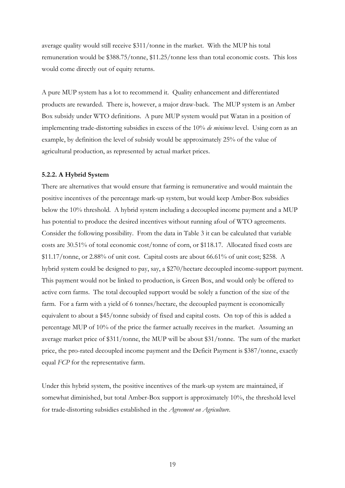average quality would still receive \$311/tonne in the market. With the MUP his total remuneration would be \$388.75/tonne, \$11.25/tonne less than total economic costs. This loss would come directly out of equity returns.

A pure MUP system has a lot to recommend it. Quality enhancement and differentiated products are rewarded. There is, however, a major draw-back. The MUP system is an Amber Box subsidy under WTO definitions. A pure MUP system would put Watan in a position of implementing trade-distorting subsidies in excess of the 10% *de minimus* level. Using corn as an example, by definition the level of subsidy would be approximately 25% of the value of agricultural production, as represented by actual market prices.

## **5.2.2. A Hybrid System**

There are alternatives that would ensure that farming is remunerative and would maintain the positive incentives of the percentage mark-up system, but would keep Amber-Box subsidies below the 10% threshold. A hybrid system including a decoupled income payment and a MUP has potential to produce the desired incentives without running afoul of WTO agreements. Consider the following possibility. From the data in Table 3 it can be calculated that variable costs are 30.51% of total economic cost/tonne of corn, or \$118.17. Allocated fixed costs are \$11.17/tonne, or 2.88% of unit cost. Capital costs are about 66.61% of unit cost; \$258. A hybrid system could be designed to pay, say, a \$270/hectare decoupled income-support payment. This payment would not be linked to production, is Green Box, and would only be offered to active corn farms. The total decoupled support would be solely a function of the size of the farm. For a farm with a yield of 6 tonnes/hectare, the decoupled payment is economically equivalent to about a \$45/tonne subsidy of fixed and capital costs. On top of this is added a percentage MUP of 10% of the price the farmer actually receives in the market. Assuming an average market price of \$311/tonne, the MUP will be about \$31/tonne. The sum of the market price, the pro-rated decoupled income payment and the Deficit Payment is \$387/tonne, exactly equal *FCP* for the representative farm.

Under this hybrid system, the positive incentives of the mark-up system are maintained, if somewhat diminished, but total Amber-Box support is approximately 10%, the threshold level for trade-distorting subsidies established in the *Agreement on Agriculture*.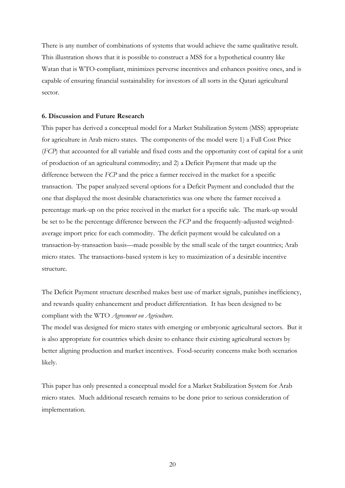There is any number of combinations of systems that would achieve the same qualitative result. This illustration shows that it is possible to construct a MSS for a hypothetical country like Watan that is WTO-compliant, minimizes perverse incentives and enhances positive ones, and is capable of ensuring financial sustainability for investors of all sorts in the Qatari agricultural sector.

#### **6. Discussion and Future Research**

This paper has derived a conceptual model for a Market Stabilization System (MSS) appropriate for agriculture in Arab micro states. The components of the model were 1) a Full Cost Price (*FCP*) that accounted for all variable and fixed costs and the opportunity cost of capital for a unit of production of an agricultural commodity; and 2) a Deficit Payment that made up the difference between the *FCP* and the price a farmer received in the market for a specific transaction. The paper analyzed several options for a Deficit Payment and concluded that the one that displayed the most desirable characteristics was one where the farmer received a percentage mark-up on the price received in the market for a specific sale. The mark-up would be set to be the percentage difference between the *FCP* and the frequently-adjusted weightedaverage import price for each commodity. The deficit payment would be calculated on a transaction-by-transaction basis—made possible by the small scale of the target countries; Arab micro states. The transactions-based system is key to maximization of a desirable incentive structure.

The Deficit Payment structure described makes best use of market signals, punishes inefficiency, and rewards quality enhancement and product differentiation. It has been designed to be compliant with the WTO *Agreement on Agriculture*.

The model was designed for micro states with emerging or embryonic agricultural sectors. But it is also appropriate for countries which desire to enhance their existing agricultural sectors by better aligning production and market incentives. Food-security concerns make both scenarios likely.

This paper has only presented a conceptual model for a Market Stabilization System for Arab micro states. Much additional research remains to be done prior to serious consideration of implementation.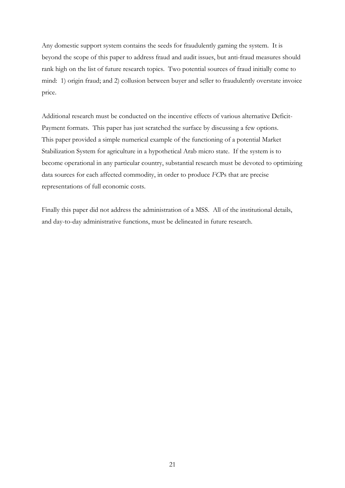Any domestic support system contains the seeds for fraudulently gaming the system. It is beyond the scope of this paper to address fraud and audit issues, but anti-fraud measures should rank high on the list of future research topics. Two potential sources of fraud initially come to mind: 1) origin fraud; and 2) collusion between buyer and seller to fraudulently overstate invoice price.

Additional research must be conducted on the incentive effects of various alternative Deficit-Payment formats. This paper has just scratched the surface by discussing a few options. This paper provided a simple numerical example of the functioning of a potential Market Stabilization System for agriculture in a hypothetical Arab micro state. If the system is to become operational in any particular country, substantial research must be devoted to optimizing data sources for each affected commodity, in order to produce *FC*Ps that are precise representations of full economic costs.

Finally this paper did not address the administration of a MSS. All of the institutional details, and day-to-day administrative functions, must be delineated in future research.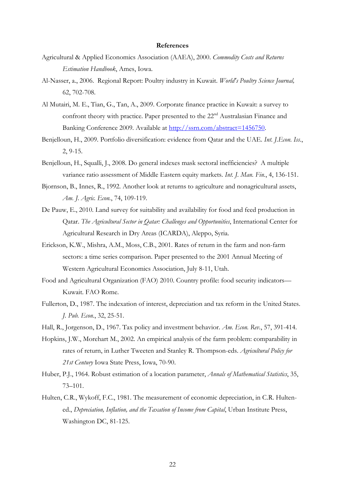#### **References**

- Agricultural & Applied Economics Association (AAEA), 2000. *Commodity Costs and Returns Estimation Handbook*, Ames, Iowa.
- Al-Nasser, a., 2006. Regional Report: Poultry industry in Kuwait. *World's Poultry Science Journal,*  62, 702-708.
- Al Mutairi, M. E., Tian, G., Tan, A., 2009. Corporate finance practice in Kuwait: a survey to confront theory with practice. Paper presented to the 22<sup>nd</sup> Australasian Finance and Banking Conference 2009. Available at [http://ssrn.com/abstract=1456750.](http://ssrn.com/abstract=1456750)
- Benjelloun, H., 2009. Portfolio diversification: evidence from Qatar and the UAE. *Int. J.Econ. Iss.*, 2, 9-15.
- Benjelloun, H., Squalli, J., 2008. Do general indexes mask sectoral inefficiencies? A multiple variance ratio assessment of Middle Eastern equity markets. *Int. J. Man. Fin.*, 4, 136-151.
- Bjornson, B., Innes, R., 1992. Another look at returns to agriculture and nonagricultural assets, *Am. J. Agric. Econ.*, 74, 109-119.
- De Pauw, E., 2010. Land survey for suitability and availability for food and feed production in Qatar. *The Agricultural Sector in Qatar: Challenges and Opportunities*, International Center for Agricultural Research in Dry Areas (ICARDA), Aleppo, Syria.
- Erickson, K.W., Mishra, A.M., Moss, C.B., 2001. Rates of return in the farm and non-farm sectors: a time series comparison. Paper presented to the 2001 Annual Meeting of Western Agricultural Economics Association, July 8-11, Utah.
- Food and Agricultural Organization (FAO) 2010. Country profile: food security indicators— Kuwait. FAO Rome.
- Fullerton, D., 1987. The indexation of interest, depreciation and tax reform in the United States. *J. Pub. Econ.*, 32, 25-51.
- Hall, R., Jorgenson, D., 1967. Tax policy and investment behavior. *Am. Econ. Rev.*, 57, 391-414.
- Hopkins, J.W., Morehart M., 2002. An empirical analysis of the farm problem: comparability in rates of return, in Luther Tweeten and Stanley R. Thompson-eds. *Agricultural Policy for 21st Century* Iowa State Press, Iowa, 70-90.
- Huber, P.J., 1964. Robust estimation of a location parameter, *Annals of Mathematical Statistics*, 35, 73–101.
- Hulten, C.R., Wykoff, F.C., 1981. The measurement of economic depreciation, in C.R. Hultened., *Depreciation, Inflation, and the Taxation of Income from Capital*, Urban Institute Press, Washington DC, 81-125.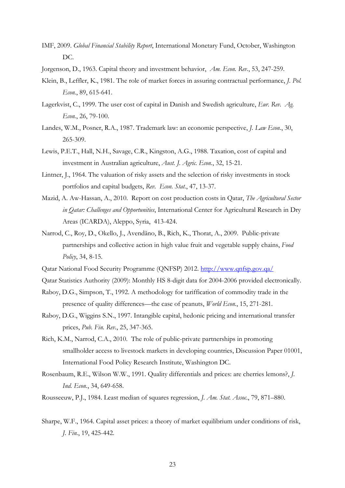- IMF, 2009. *Global Financial Stability Report*, International Monetary Fund, October, Washington DC.
- Jorgenson, D., 1963. Capital theory and investment behavior, *Am. Econ. Rev.*, 53, 247-259.
- Klein, B., Leffler, K., 1981. The role of market forces in assuring contractual performance, *J. Pol. Econ.*, 89, 615-641.
- Lagerkvist, C., 1999. The user cost of capital in Danish and Swedish agriculture, *Eur. Rev. Ag. Econ.*, 26, 79-100.
- Landes, W.M., Posner, R.A., 1987. Trademark law: an economic perspective, *J. Law Econ.*, 30, 265-309.
- Lewis, P.E.T., Hall, N.H., Savage, C.R., Kingston, A.G., 1988. Taxation, cost of capital and investment in Australian agriculture, *Aust. J. Agric. Econ.*, 32, 15-21.
- Lintner, J., 1964. The valuation of risky assets and the selection of risky investments in stock portfolios and capital budgets, *Rev. Econ. Stat.*, 47, 13-37.
- Mazid, A. Aw-Hassan, A., 2010. Report on cost production costs in Qatar, *The Agricultural Sector in Qatar: Challenges and Opportunities*, International Center for Agricultural Research in Dry Areas (ICARDA), Aleppo, Syria, 413-424.
- Narrod, C., Roy, D., Okello, J., Avendãno, B., Rich, K., Thorat, A., 2009. Public-private partnerships and collective action in high value fruit and vegetable supply chains, *Food Policy*, 34, 8-15.
- Qatar National Food Security Programme (QNFSP) 2012.<http://www.qnfsp.gov.qa/>
- Qatar Statistics Authority (2009): Monthly HS 8-digit data for 2004-2006 provided electronically.
- Raboy, D.G., Simpson, T., 1992. A methodology for tariffication of commodity trade in the presence of quality differences—the case of peanuts, *World Econ.*, 15, 271-281.
- Raboy, D.G., Wiggins S.N., 1997. Intangible capital, hedonic pricing and international transfer prices, *Pub. Fin. Rev.*, 25, 347-365.
- Rich, K.M., Narrod, C.A., 2010. The role of public-private partnerships in promoting smallholder access to livestock markets in developing countries, Discussion Paper 01001, International Food Policy Research Institute, Washington DC.
- Rosenbaum, R.E., Wilson W.W., 1991. Quality differentials and prices: are cherries lemons?, *J. Ind. Econ.*, 34, 649-658.
- Rousseeuw, P.J., 1984. Least median of squares regression, *J. Am. Stat. Assoc.*, 79, 871–880.
- Sharpe, W.F., 1964. Capital asset prices: a theory of market equilibrium under conditions of risk, *J. Fin.*, 19, 425-442.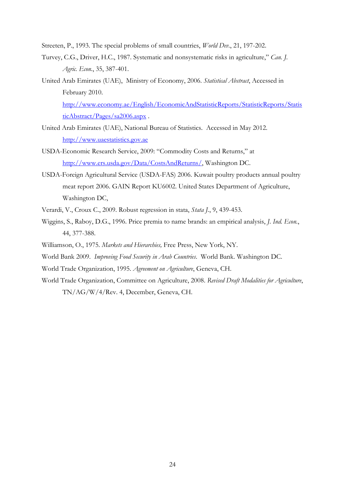Streeten, P., 1993. The special problems of small countries, *World Dev.*, 21, 197-202.

- Turvey, C.G., Driver, H.C., 1987. Systematic and nonsystematic risks in agriculture," *Can. J. Agric. Econ.*, 35, 387-401.
- United Arab Emirates (UAE), Ministry of Economy, 2006. *Statistical Abstract*, Accessed in February 2010. [http://www.economy.ae/English/EconomicAndStatisticReports/StatisticReports/Statis](http://www.economy.ae/English/EconomicAndStatisticReports/StatisticReports/StatisticAbstract/Pages/sa2006.aspx) [ticAbstract/Pages/sa2006.aspx](http://www.economy.ae/English/EconomicAndStatisticReports/StatisticReports/StatisticAbstract/Pages/sa2006.aspx) .
- United Arab Emirates (UAE), National Bureau of Statistics. Accessed in May 2012. [http://www.uaestatistics.gov.ae](http://www.uaestatistics.gov.ae/)
- USDA-Economic Research Service, 2009: "Commodity Costs and Returns," at [http://www.ers.usda.gov/Data/CostsAndReturns/,](http://www.ers.usda.gov/Data/CostsAndReturns/) Washington DC.
- USDA-Foreign Agricultural Service (USDA-FAS) 2006. Kuwait poultry products annual poultry meat report 2006. GAIN Report KU6002. United States Department of Agriculture, Washington DC,
- Verardi, V., Croux C., 2009. Robust regression in stata, *Stata J.*, 9, 439-453.
- Wiggins, S., Raboy, D.G., 1996. Price premia to name brands: an empirical analysis, *J. Ind. Econ.*, 44, 377-388.
- Williamson, O., 1975. *Markets and Hierarchies,* Free Press, New York, NY.
- World Bank 2009. *Improving Food Security in Arab Countries*. World Bank. Washington DC.
- World Trade Organization, 1995. *Agreement on Agriculture*, Geneva, CH.
- World Trade Organization, Committee on Agriculture, 2008. *Revised Draft Modalities for Agriculture*, TN/AG/W/4/Rev. 4, December, Geneva, CH.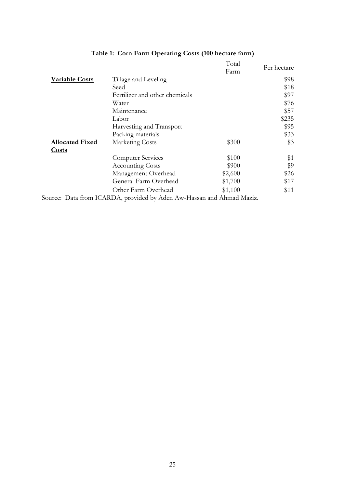|                        |                                                                       | Total   |             |
|------------------------|-----------------------------------------------------------------------|---------|-------------|
|                        |                                                                       | Farm    | Per hectare |
| <b>Variable Costs</b>  | Tillage and Leveling                                                  |         | \$98        |
|                        | Seed                                                                  |         | \$18        |
|                        | Fertilizer and other chemicals                                        |         | \$97        |
|                        | Water                                                                 |         | \$76        |
|                        | Maintenance                                                           |         | \$57        |
|                        | Labor                                                                 |         | \$235       |
|                        | Harvesting and Transport                                              |         | \$95        |
|                        | Packing materials                                                     |         | \$33        |
| <b>Allocated Fixed</b> | Marketing Costs                                                       | \$300   | \$3         |
| <b>Costs</b>           |                                                                       |         |             |
|                        | Computer Services                                                     | \$100   | \$1         |
|                        | Accounting Costs                                                      | \$900   | \$9         |
|                        | Management Overhead                                                   | \$2,600 | \$26        |
|                        | General Farm Overhead                                                 | \$1,700 | \$17        |
|                        | Other Farm Overhead                                                   | \$1,100 | \$11        |
|                        | Source: Data from ICARDA, provided by Aden Aw-Hassan and Ahmad Maziz. |         |             |

# **Table 1: Corn Farm Operating Costs (100 hectare farm)**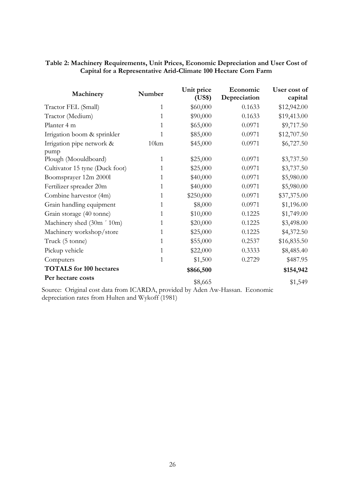## **Table 2: Machinery Requirements, Unit Prices, Economic Depreciation and User Cost of Capital for a Representative Arid-Climate 100 Hectare Corn Farm**

| Machinery                      | Number       | Unit price<br>(US\$) | Economic<br>Depreciation | User cost of<br>capital |
|--------------------------------|--------------|----------------------|--------------------------|-------------------------|
| Tractor FEL (Small)            | $\mathbf{1}$ | \$60,000             | 0.1633                   | \$12,942.00             |
| Tractor (Medium)               | 1            | \$90,000             | 0.1633                   | \$19,413.00             |
| Planter 4 m                    | 1            | \$65,000             | 0.0971                   | \$9,717.50              |
| Irrigation boom & sprinkler    | 1            | \$85,000             | 0.0971                   | \$12,707.50             |
| Irrigation pipe network &      | 10km         | \$45,000             | 0.0971                   | \$6,727.50              |
| pump                           |              |                      |                          |                         |
| Plough (Moouldboard)           | $\mathbf{1}$ | \$25,000             | 0.0971                   | \$3,737.50              |
| Cultivator 15 tyne (Duck foot) | 1            | \$25,000             | 0.0971                   | \$3,737.50              |
| Boomsprayer 12m 2000l          | 1            | \$40,000             | 0.0971                   | \$5,980.00              |
| Fertilizer spreader 20m        | 1            | \$40,000             | 0.0971                   | \$5,980.00              |
| Combine harvestor (4m)         | 1            | \$250,000            | 0.0971                   | \$37,375.00             |
| Grain handling equipment       | 1            | \$8,000              | 0.0971                   | \$1,196.00              |
| Grain storage (40 tonne)       | 1            | \$10,000             | 0.1225                   | \$1,749.00              |
| Machinery shed (30m ' 10m)     | 1            | \$20,000             | 0.1225                   | \$3,498.00              |
| Machinery workshop/store       | 1            | \$25,000             | 0.1225                   | \$4,372.50              |
| Truck (5 tonne)                | 1            | \$55,000             | 0.2537                   | \$16,835.50             |
| Pickup vehicle                 | 1            | \$22,000             | 0.3333                   | \$8,485.40              |
| Computers                      | 1            | \$1,500              | 0.2729                   | \$487.95                |
| <b>TOTALS</b> for 100 hectares |              | \$866,500            |                          | \$154,942               |
| Per hectare costs              |              | \$8,665              |                          | \$1,549                 |

Source: Original cost data from ICARDA, provided by Aden Aw-Hassan. Economic depreciation rates from Hulten and Wykoff (1981)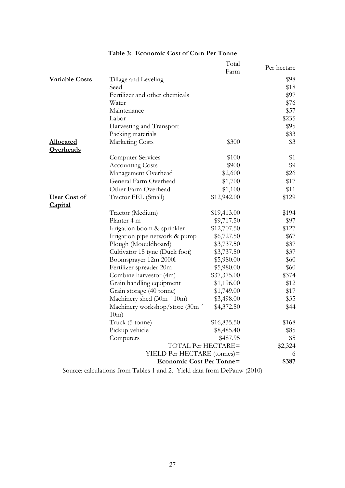|                                       |                                                                         | Total<br>Farm | Per hectare |
|---------------------------------------|-------------------------------------------------------------------------|---------------|-------------|
| <b>Variable Costs</b>                 | Tillage and Leveling                                                    |               | \$98        |
|                                       | Seed                                                                    |               | \$18        |
|                                       | Fertilizer and other chemicals                                          |               | \$97        |
|                                       | Water                                                                   |               | \$76        |
|                                       | Maintenance                                                             |               | \$57        |
|                                       | Labor                                                                   |               | \$235       |
|                                       | Harvesting and Transport                                                |               | \$95        |
|                                       | Packing materials                                                       |               | \$33        |
| <b>Allocated</b><br><b>Overheads</b>  | <b>Marketing Costs</b>                                                  | \$300         | \$3         |
|                                       | <b>Computer Services</b>                                                | \$100         | \$1         |
|                                       | <b>Accounting Costs</b>                                                 | \$900         | \$9         |
|                                       | Management Overhead                                                     | \$2,600       | \$26        |
|                                       | General Farm Overhead                                                   | \$1,700       | \$17        |
|                                       | Other Farm Overhead                                                     | \$1,100       | \$11        |
| <b>User Cost of</b><br><b>Capital</b> | Tractor FEL (Small)                                                     | \$12,942.00   | \$129       |
|                                       | Tractor (Medium)                                                        | \$19,413.00   | \$194       |
|                                       | Planter 4 m                                                             | \$9,717.50    | \$97        |
|                                       | Irrigation boom & sprinkler                                             | \$12,707.50   | \$127       |
|                                       | Irrigation pipe network & pump                                          | \$6,727.50    | \$67        |
|                                       | Plough (Moouldboard)                                                    | \$3,737.50    | \$37        |
|                                       | Cultivator 15 tyne (Duck foot)                                          | \$3,737.50    | \$37        |
|                                       | Boomsprayer 12m 2000l                                                   | \$5,980.00    | \$60        |
|                                       | Fertilizer spreader 20m                                                 | \$5,980.00    | \$60        |
|                                       | Combine harvestor (4m)                                                  | \$37,375.00   | \$374       |
|                                       | Grain handling equipment                                                | \$1,196.00    | \$12        |
|                                       | Grain storage (40 tonne)                                                | \$1,749.00    | \$17        |
|                                       | Machinery shed (30m '10m)                                               | \$3,498.00    | \$35        |
|                                       | Machinery workshop/store (30m '<br>10m)                                 | \$4,372.50    | \$44        |
|                                       | Truck (5 tonne)                                                         | \$16,835.50   | \$168       |
|                                       | Pickup vehicle                                                          | \$8,485.40    | \$85        |
|                                       | Computers                                                               | \$487.95      | \$5         |
|                                       | TOTAL Per HECTARE=                                                      |               | \$2,324     |
|                                       | YIELD Per HECTARE (tonnes)=                                             |               | 6           |
|                                       | <b>Economic Cost Per Tonne=</b>                                         |               | \$387       |
|                                       | Source: calculations from Tables 1 and 2. Yield data from DePauw (2010) |               |             |

# **Table 3: Economic Cost of Corn Per Tonne**